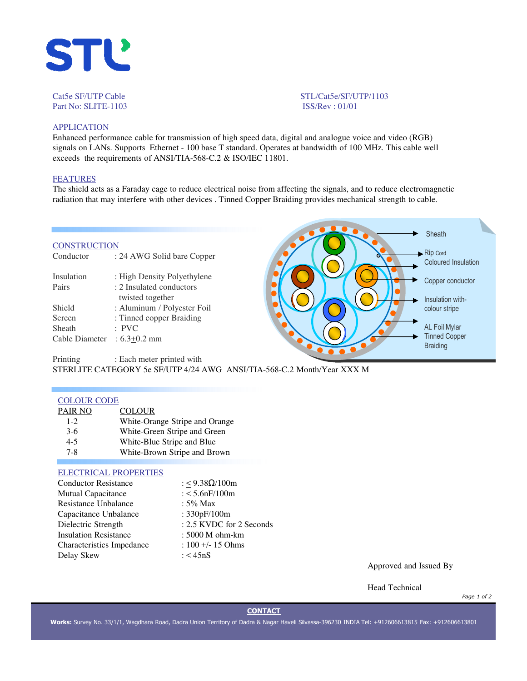

## Cat5e SF/UTP Cable STL/Cat5e/SF/UTP/1103 Part No: SLITE-1103 **ISS/Rev** : 01/01

# **APPLICATION**

Enhanced performance cable for transmission of high speed data, digital and analogue voice and video (RGB) signals on LANs. Supports Ethernet - 100 base T standard. Operates at bandwidth of 100 MHz. This cable well exceeds the requirements of ANSI/TIA-568-C.2 & ISO/IEC 11801.

## FEATURES

The shield acts as a Faraday cage to reduce electrical noise from affecting the signals, and to reduce electromagnetic radiation that may interfere with other devices . Tinned Copper Braiding provides mechanical strength to cable.

#### **CONSTRUCTION**

| Conductor      | : 24 AWG Solid bare Copper  |
|----------------|-----------------------------|
| Insulation     | : High Density Polyethylene |
| Pairs          | : 2 Insulated conductors    |
|                | twisted together            |
| Shield         | : Aluminum / Polyester Foil |
| Screen         | : Tinned copper Braiding    |
| Sheath         | $\cdot$ PVC                 |
| Cable Diameter | $:6.3+0.2$ mm               |
|                |                             |



Printing : Each meter printed with STERLITE CATEGORY 5e SF/UTP 4/24 AWG ANSI/TIA-568-C.2 Month/Year XXX M

#### COLOUR CODE

| PAIR NO | <b>COLOUR</b>                  |
|---------|--------------------------------|
| $1 - 2$ | White-Orange Stripe and Orange |
| $3-6$   | White-Green Stripe and Green   |
| $4 - 5$ | White-Blue Stripe and Blue     |
| $7 - 8$ | White-Brown Stripe and Brown   |
|         |                                |

## ELECTRICAL PROPERTIES

| <b>Conductor Resistance</b>  | : < $9.38\Omega/100m$    |
|------------------------------|--------------------------|
| <b>Mutual Capacitance</b>    | $: < 5.6$ n $F/100$ m    |
| <b>Resistance Unbalance</b>  | : $5\%$ Max              |
| Capacitance Unbalance        | : 330pF/100m             |
| Dielectric Strength          | : 2.5 KVDC for 2 Seconds |
| <b>Insulation Resistance</b> | : 5000 M ohm-km          |
| Characteristics Impedance    | $: 100 + - 15$ Ohms      |
| Delay Skew                   | : $<$ 45nS               |
|                              |                          |

Approved and Issued By

Head Technical

*Page 1 of 2*

## **CONTACT**

**Works:** Survey No. 33/1/1, Wagdhara Road, Dadra Union Territory of Dadra & Nagar Haveli Silvassa-396230 INDIA Tel: +912606613815 Fax: +912606613801